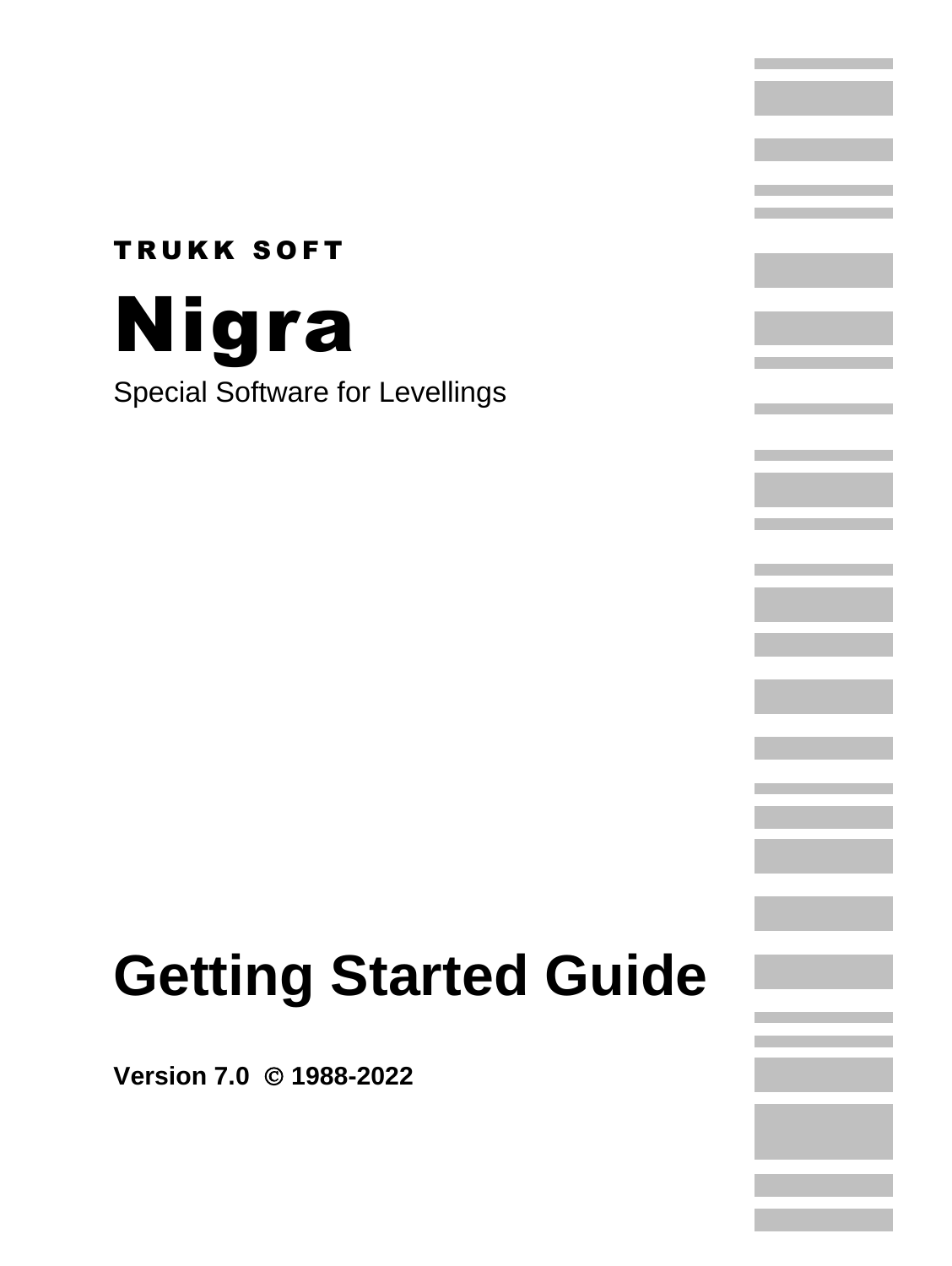## **TRUKK SOFT** Nigra Special Software for Levellings

# **Getting Started Guide**

**Version 7.0** © **1988-2022**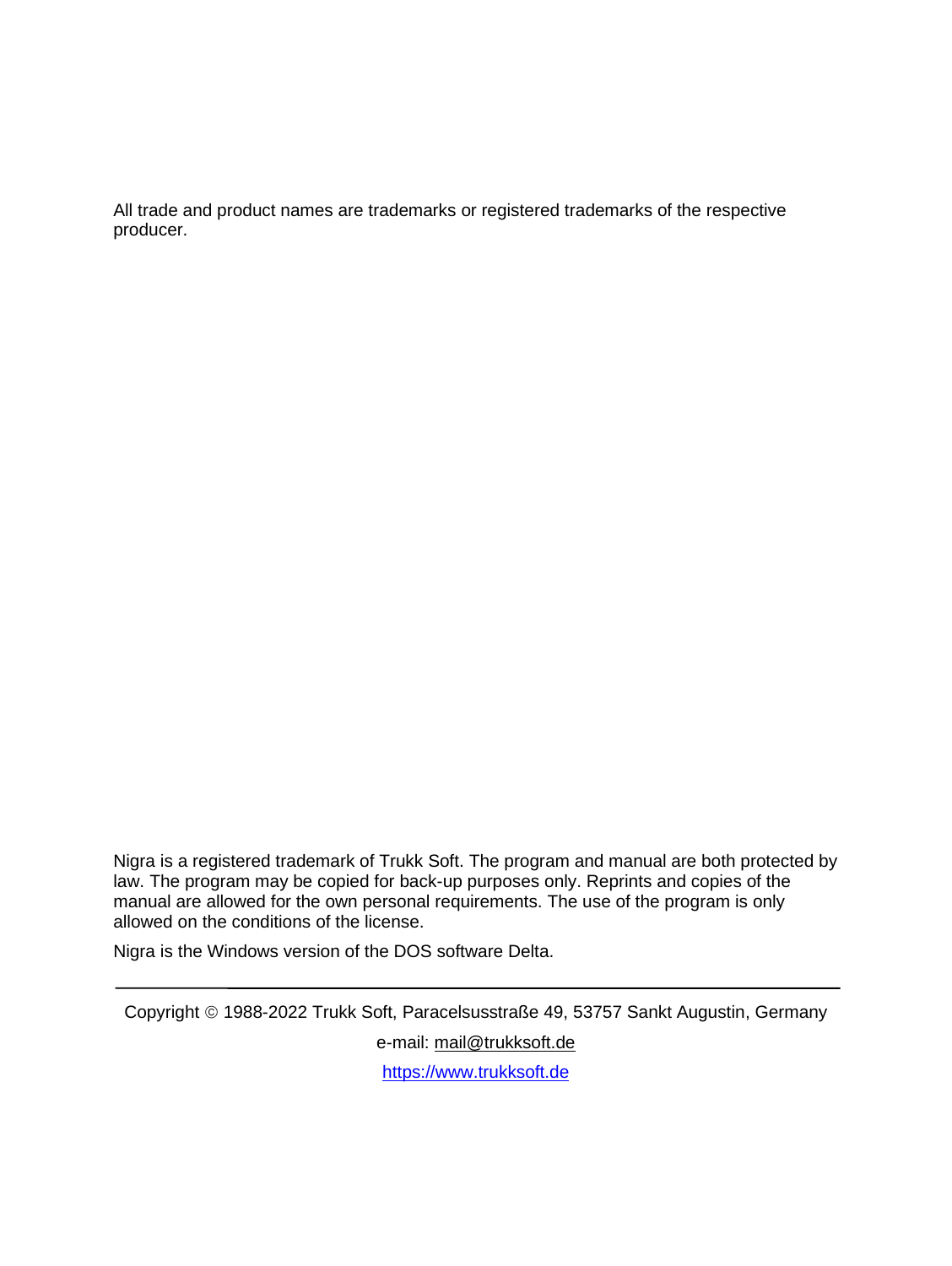All trade and product names are trademarks or registered trademarks of the respective producer.

Nigra is a registered trademark of Trukk Soft. The program and manual are both protected by law. The program may be copied for back-up purposes only. Reprints and copies of the manual are allowed for the own personal requirements. The use of the program is only allowed on the conditions of the license.

Nigra is the Windows version of the DOS software Delta.

Copyright © 1988-2022 Trukk Soft, Paracelsusstraße 49, 53757 Sankt Augustin, Germany e-mail: [mail@trukksoft.de](mailto:mail@trukksoft.de)

[https://www.trukksoft.de](https://www.trukksoft.de/)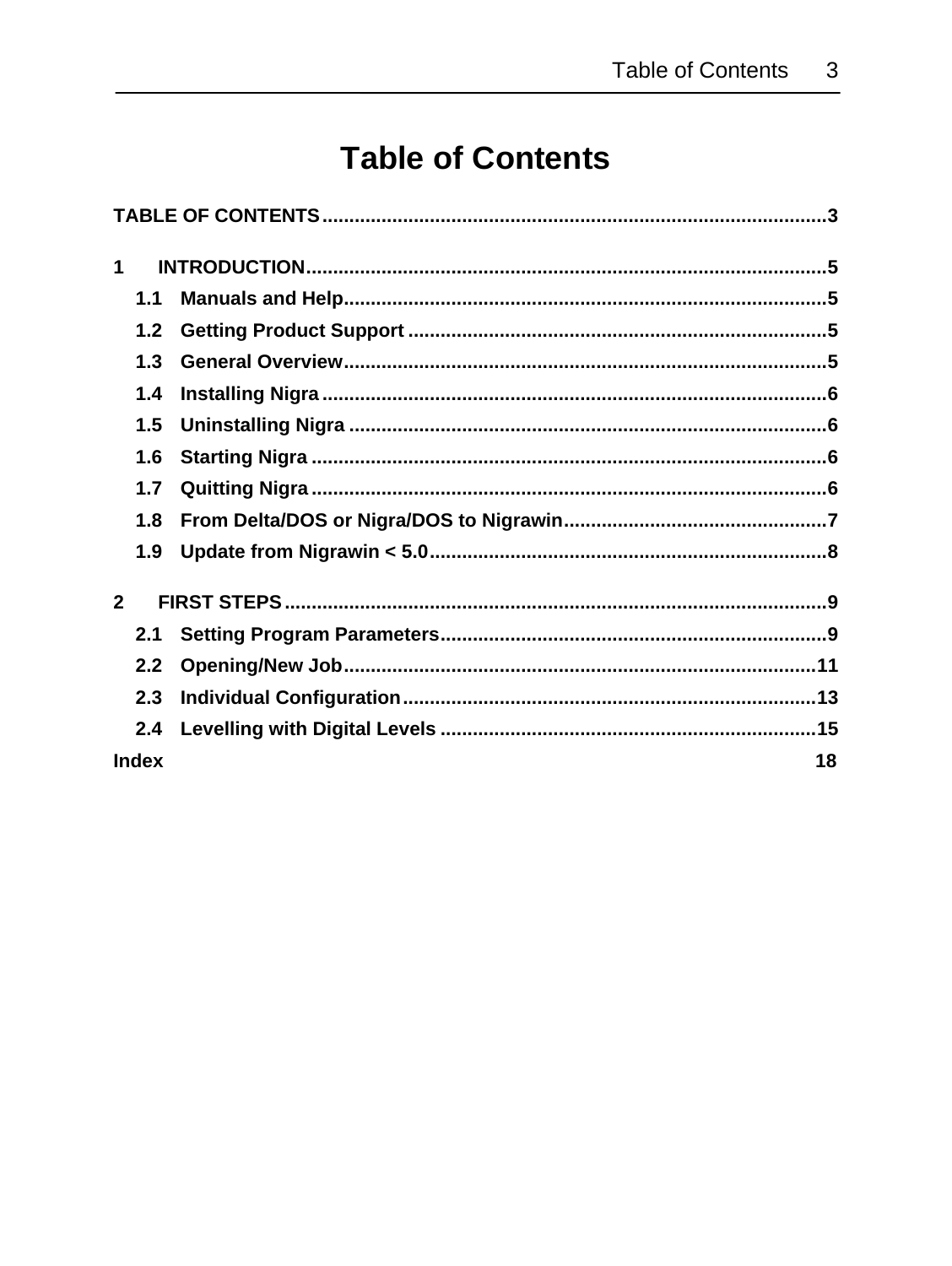### **Table of Contents**

<span id="page-2-0"></span>

| 1              |    |
|----------------|----|
| 1.1            |    |
| 1.2            |    |
| 1.3            |    |
| 1.4            |    |
| 1.5            |    |
| 1.6            |    |
| 1.7            |    |
| 1.8            |    |
| 1.9            |    |
| $\overline{2}$ |    |
| 2.1            |    |
| 2.2            |    |
| 2.3            |    |
| 2.4            |    |
| <b>Index</b>   | 18 |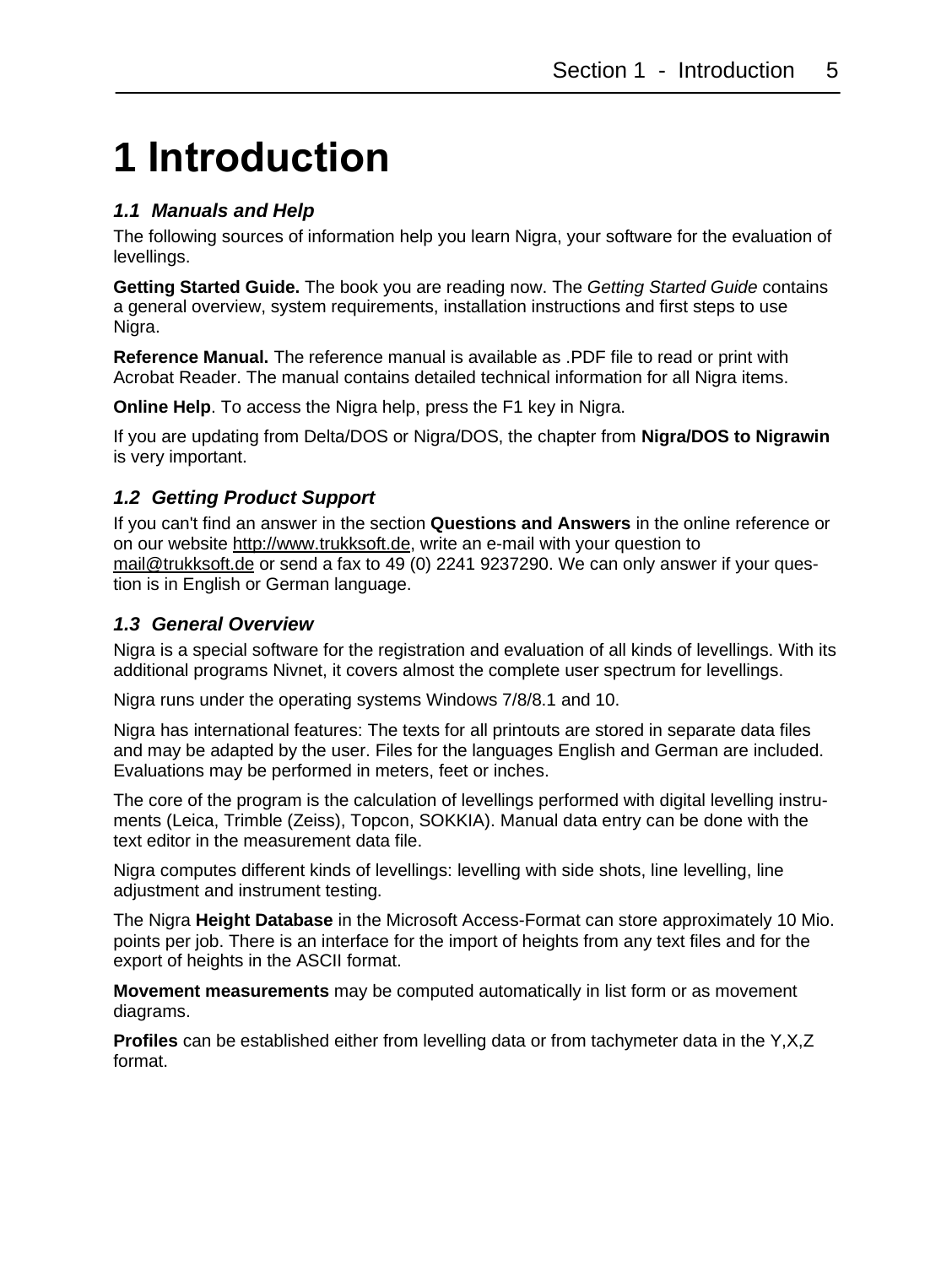### <span id="page-4-0"></span>**1 Introduction**

#### <span id="page-4-1"></span>*1.1 Manuals and Help*

The following sources of information help you learn Nigra, your software for the evaluation of levellings.

**Getting Started Guide.** The book you are reading now. The *Getting Started Guide* contains a general overview, system requirements, installation instructions and first steps to use Nigra.

**Reference Manual.** The reference manual is available as .PDF file to read or print with Acrobat Reader. The manual contains detailed technical information for all Nigra items.

**Online Help**. To access the Nigra help, press the F1 key in Nigra.

If you are updating from Delta/DOS or Nigra/DOS, the chapter from **Nigra/DOS to Nigrawin** is very important.

#### <span id="page-4-2"></span>*1.2 Getting Product Support*

If you can't find an answer in the section **Questions and Answers** in the online reference or on our website [http://www.trukksoft.de,](http://www.trukksoft.de/) write an e-mail with your question to [mail@trukksoft.de](mailto:mail@trukksoft.de) or send a fax to 49 (0) 2241 9237290. We can only answer if your question is in English or German language.

#### <span id="page-4-3"></span>*1.3 General Overview*

Nigra is a special software for the registration and evaluation of all kinds of levellings. With its additional programs Nivnet, it covers almost the complete user spectrum for levellings.

Nigra runs under the operating systems Windows 7/8/8.1 and 10.

Nigra has international features: The texts for all printouts are stored in separate data files and may be adapted by the user. Files for the languages English and German are included. Evaluations may be performed in meters, feet or inches.

The core of the program is the calculation of levellings performed with digital levelling instruments (Leica, Trimble (Zeiss), Topcon, SOKKIA). Manual data entry can be done with the text editor in the measurement data file.

Nigra computes different kinds of levellings: levelling with side shots, line levelling, line adjustment and instrument testing.

The Nigra **Height Database** in the Microsoft Access-Format can store approximately 10 Mio. points per job. There is an interface for the import of heights from any text files and for the export of heights in the ASCII format.

**Movement measurements** may be computed automatically in list form or as movement diagrams.

**Profiles** can be established either from levelling data or from tachymeter data in the Y,X,Z format.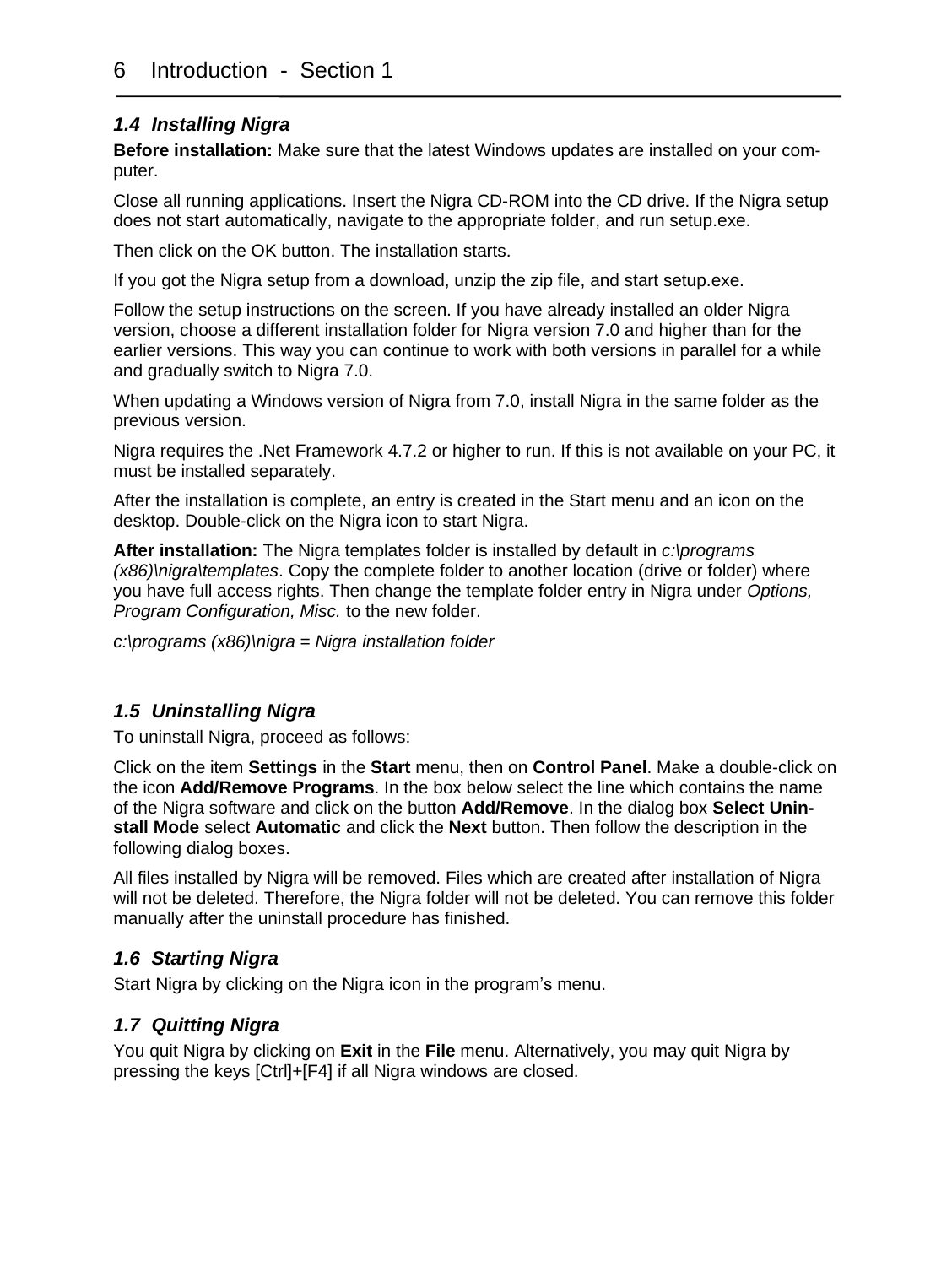#### <span id="page-5-0"></span>*1.4 Installing Nigra*

**Before installation:** Make sure that the latest Windows updates are installed on your computer.

Close all running applications. Insert the Nigra CD-ROM into the CD drive. If the Nigra setup does not start automatically, navigate to the appropriate folder, and run setup.exe.

Then click on the OK button. The installation starts.

If you got the Nigra setup from a download, unzip the zip file, and start setup.exe.

Follow the setup instructions on the screen. If you have already installed an older Nigra version, choose a different installation folder for Nigra version 7.0 and higher than for the earlier versions. This way you can continue to work with both versions in parallel for a while and gradually switch to Nigra 7.0.

When updating a Windows version of Nigra from 7.0, install Nigra in the same folder as the previous version.

Nigra requires the .Net Framework 4.7.2 or higher to run. If this is not available on your PC, it must be installed separately.

After the installation is complete, an entry is created in the Start menu and an icon on the desktop. Double-click on the Nigra icon to start Nigra.

**After installation:** The Nigra templates folder is installed by default in *c:\programs (x86)\nigra\templates*. Copy the complete folder to another location (drive or folder) where you have full access rights. Then change the template folder entry in Nigra under *Options, Program Configuration, Misc.* to the new folder.

*c:\programs (x86)\nigra = Nigra installation folder*

#### <span id="page-5-1"></span>*1.5 Uninstalling Nigra*

To uninstall Nigra, proceed as follows:

Click on the item **Settings** in the **Start** menu, then on **Control Panel**. Make a double-click on the icon **Add/Remove Programs**. In the box below select the line which contains the name of the Nigra software and click on the button **Add/Remove**. In the dialog box **Select Uninstall Mode** select **Automatic** and click the **Next** button. Then follow the description in the following dialog boxes.

All files installed by Nigra will be removed. Files which are created after installation of Nigra will not be deleted. Therefore, the Nigra folder will not be deleted. You can remove this folder manually after the uninstall procedure has finished.

#### <span id="page-5-2"></span>*1.6 Starting Nigra*

Start Nigra by clicking on the Nigra icon in the program's menu.

#### <span id="page-5-3"></span>*1.7 Quitting Nigra*

You quit Nigra by clicking on **Exit** in the **File** menu. Alternatively, you may quit Nigra by pressing the keys [Ctrl]+[F4] if all Nigra windows are closed.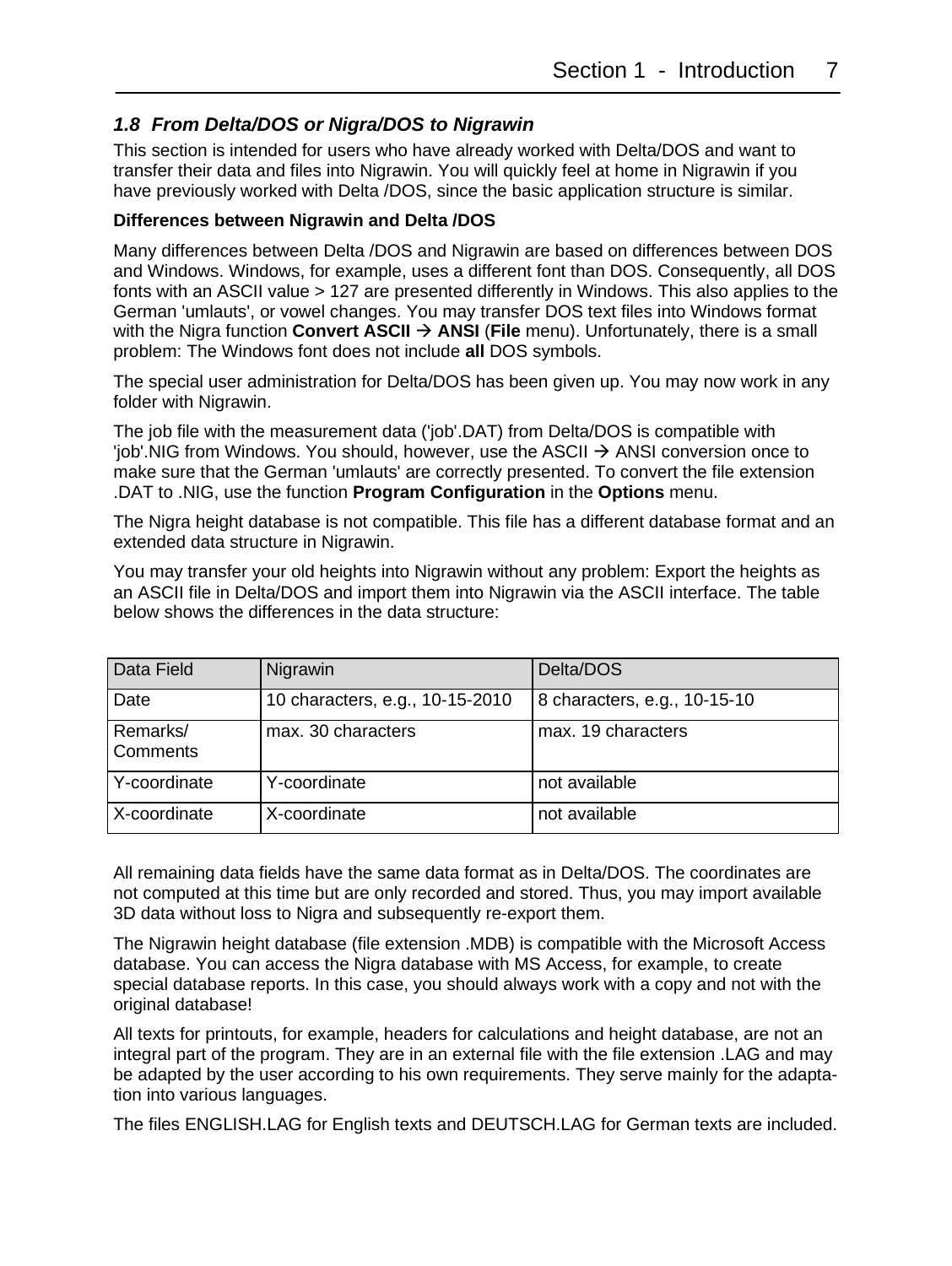#### <span id="page-6-0"></span>*1.8 From Delta/DOS or Nigra/DOS to Nigrawin*

This section is intended for users who have already worked with Delta/DOS and want to transfer their data and files into Nigrawin. You will quickly feel at home in Nigrawin if you have previously worked with Delta /DOS, since the basic application structure is similar.

#### **Differences between Nigrawin and Delta /DOS**

Many differences between Delta /DOS and Nigrawin are based on differences between DOS and Windows. Windows, for example, uses a different font than DOS. Consequently, all DOS fonts with an ASCII value > 127 are presented differently in Windows. This also applies to the German 'umlauts', or vowel changes. You may transfer DOS text files into Windows format with the Nigra function **Convert ASCII → ANSI** (File menu). Unfortunately, there is a small problem: The Windows font does not include **all** DOS symbols.

The special user administration for Delta/DOS has been given up. You may now work in any folder with Nigrawin.

The job file with the measurement data ('job'.DAT) from Delta/DOS is compatible with  $\phi$ 'iob'.NIG from Windows. You should, however, use the ASCII  $\rightarrow$  ANSI conversion once to make sure that the German 'umlauts' are correctly presented. To convert the file extension .DAT to .NIG, use the function **Program Configuration** in the **Options** menu.

The Nigra height database is not compatible. This file has a different database format and an extended data structure in Nigrawin.

You may transfer your old heights into Nigrawin without any problem: Export the heights as an ASCII file in Delta/DOS and import them into Nigrawin via the ASCII interface. The table below shows the differences in the data structure:

| Data Field                  | Nigrawin                        | Delta/DOS                    |
|-----------------------------|---------------------------------|------------------------------|
| Date                        | 10 characters, e.g., 10-15-2010 | 8 characters, e.g., 10-15-10 |
| Remarks/<br><b>Comments</b> | max. 30 characters              | max. 19 characters           |
| Y-coordinate                | Y-coordinate                    | not available                |
| X-coordinate                | X-coordinate                    | not available                |

All remaining data fields have the same data format as in Delta/DOS. The coordinates are not computed at this time but are only recorded and stored. Thus, you may import available 3D data without loss to Nigra and subsequently re-export them.

The Nigrawin height database (file extension .MDB) is compatible with the Microsoft Access database. You can access the Nigra database with MS Access, for example, to create special database reports. In this case, you should always work with a copy and not with the original database!

All texts for printouts, for example, headers for calculations and height database, are not an integral part of the program. They are in an external file with the file extension .LAG and may be adapted by the user according to his own requirements. They serve mainly for the adaptation into various languages.

The files ENGLISH.LAG for English texts and DEUTSCH.LAG for German texts are included.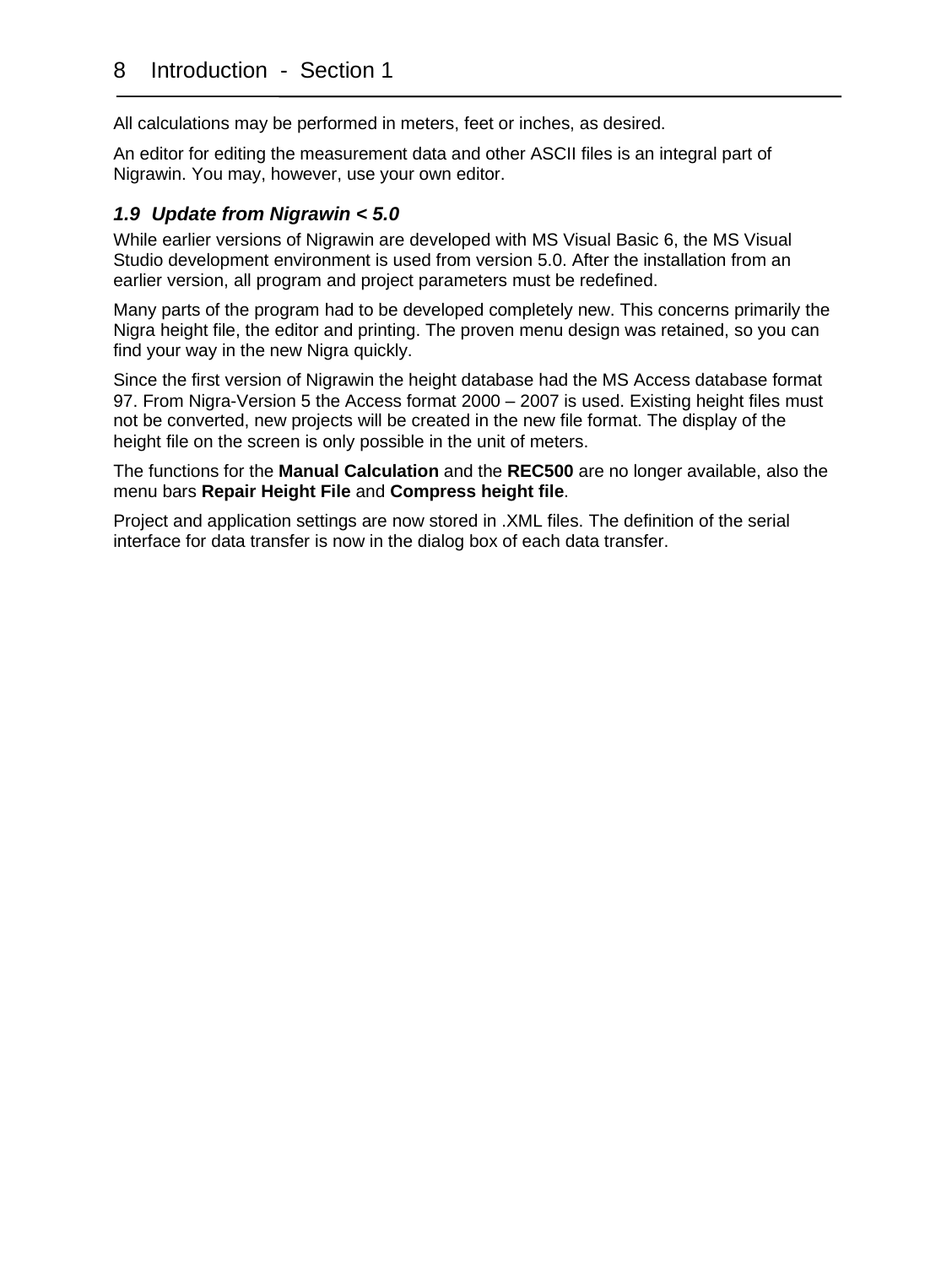All calculations may be performed in meters, feet or inches, as desired.

An editor for editing the measurement data and other ASCII files is an integral part of Nigrawin. You may, however, use your own editor.

#### <span id="page-7-0"></span>*1.9 Update from Nigrawin < 5.0*

While earlier versions of Nigrawin are developed with MS Visual Basic 6, the MS Visual Studio development environment is used from version 5.0. After the installation from an earlier version, all program and project parameters must be redefined.

Many parts of the program had to be developed completely new. This concerns primarily the Nigra height file, the editor and printing. The proven menu design was retained, so you can find your way in the new Nigra quickly.

Since the first version of Nigrawin the height database had the MS Access database format 97. From Nigra-Version 5 the Access format 2000 – 2007 is used. Existing height files must not be converted, new projects will be created in the new file format. The display of the height file on the screen is only possible in the unit of meters.

The functions for the **Manual Calculation** and the **REC500** are no longer available, also the menu bars **Repair Height File** and **Compress height file**.

Project and application settings are now stored in .XML files. The definition of the serial interface for data transfer is now in the dialog box of each data transfer.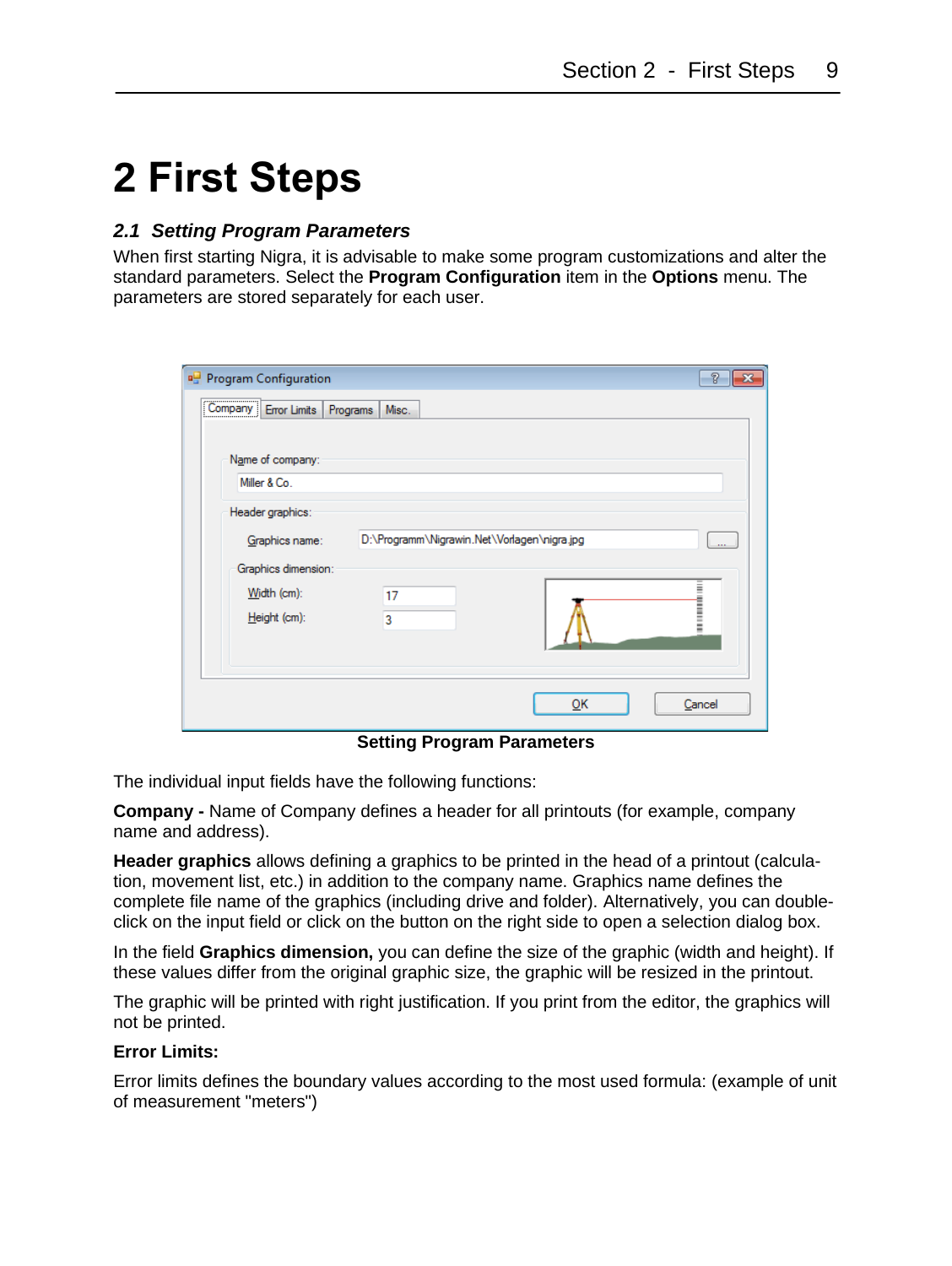### <span id="page-8-0"></span>**2 First Steps**

#### <span id="page-8-1"></span>*2.1 Setting Program Parameters*

When first starting Nigra, it is advisable to make some program customizations and alter the standard parameters. Select the **Program Configuration** item in the **Options** menu. The parameters are stored separately for each user.

| <b>Program Configuration</b>  |                                             |    | P        |
|-------------------------------|---------------------------------------------|----|----------|
| Company Error Limits Programs | Misc.                                       |    |          |
| Name of company:              |                                             |    |          |
| Miller & Co.                  |                                             |    |          |
| Header graphics:              |                                             |    |          |
| Graphics name:                | D:\Programm\Nigrawin.Net\Vorlagen\nigra.jpg |    | $\cdots$ |
| Graphics dimension:           |                                             |    |          |
| Width (cm):                   | 17                                          |    |          |
| Height (cm):                  | 3                                           |    |          |
|                               |                                             |    |          |
|                               |                                             |    |          |
|                               |                                             | OK | Cancel   |

**Setting Program Parameters**

The individual input fields have the following functions:

**Company -** Name of Company defines a header for all printouts (for example, company name and address).

**Header graphics** allows defining a graphics to be printed in the head of a printout (calculation, movement list, etc.) in addition to the company name. Graphics name defines the complete file name of the graphics (including drive and folder). Alternatively, you can doubleclick on the input field or click on the button on the right side to open a selection dialog box.

In the field **Graphics dimension,** you can define the size of the graphic (width and height). If these values differ from the original graphic size, the graphic will be resized in the printout.

The graphic will be printed with right justification. If you print from the editor, the graphics will not be printed.

#### **Error Limits:**

Error limits defines the boundary values according to the most used formula: (example of unit of measurement "meters")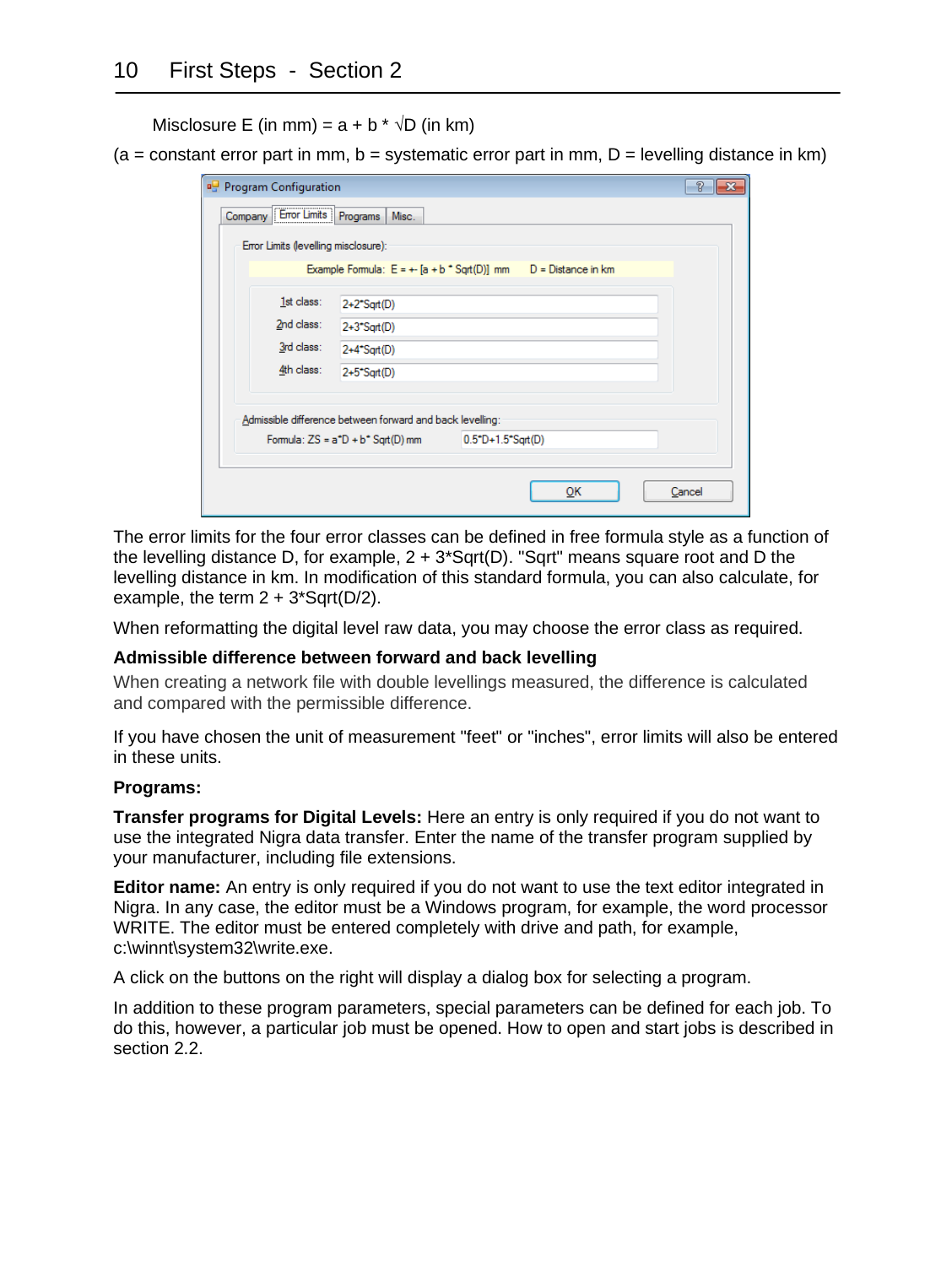Misclosure E (in mm) =  $a + b * \sqrt{D}$  (in km)

 $(a = constant error part in mm, b = systematic error part in mm, D = leveling distance in km)$ 

| <b>Program Configuration</b>             |                                                           |                                                                    | R<br>× |  |
|------------------------------------------|-----------------------------------------------------------|--------------------------------------------------------------------|--------|--|
| Company Error Limits Programs            | Misc.                                                     |                                                                    |        |  |
| Error Limits (levelling misclosure):     |                                                           |                                                                    |        |  |
|                                          |                                                           | Example Formula: $E = + [a + b^* Sqrt(D)]$ mm $D = Distance$ in km |        |  |
| 1st class:                               | $2+2$ <sup>*</sup> Sqrt(D)                                |                                                                    |        |  |
| 2nd class:<br>$2+3$ <sup>*</sup> Sqrt(D) |                                                           |                                                                    |        |  |
| 3rd class:<br>$2+4$ <sup>*</sup> Sqrt(D) |                                                           |                                                                    |        |  |
| 4th class:                               | $2+5$ <sup>*</sup> Sqrt(D)                                |                                                                    |        |  |
|                                          |                                                           |                                                                    |        |  |
|                                          | Admissible difference between forward and back levelling: |                                                                    |        |  |
|                                          | Formula: $ZS = a^*D + b^*$ Sqrt(D) mm                     | $0.5^{\circ}D + 1.5^{\circ}S$ grt(D)                               |        |  |
|                                          |                                                           |                                                                    |        |  |
|                                          |                                                           | ок                                                                 | Cancel |  |

The error limits for the four error classes can be defined in free formula style as a function of the levelling distance D, for example,  $2 + 3*$  Sqrt(D). "Sqrt" means square root and D the levelling distance in km. In modification of this standard formula, you can also calculate, for example, the term  $2 + 3*$ Sqrt(D/2).

When reformatting the digital level raw data, you may choose the error class as required.

#### **Admissible difference between forward and back levelling**

When creating a network file with double levellings measured, the difference is calculated and compared with the permissible difference.

If you have chosen the unit of measurement "feet" or "inches", error limits will also be entered in these units.

#### **Programs:**

**Transfer programs for Digital Levels:** Here an entry is only required if you do not want to use the integrated Nigra data transfer. Enter the name of the transfer program supplied by your manufacturer, including file extensions.

**Editor name:** An entry is only required if you do not want to use the text editor integrated in Nigra. In any case, the editor must be a Windows program, for example, the word processor WRITE. The editor must be entered completely with drive and path, for example, c:\winnt\system32\write.exe.

A click on the buttons on the right will display a dialog box for selecting a program.

In addition to these program parameters, special parameters can be defined for each job. To do this, however, a particular job must be opened. How to open and start jobs is described in section 2.2.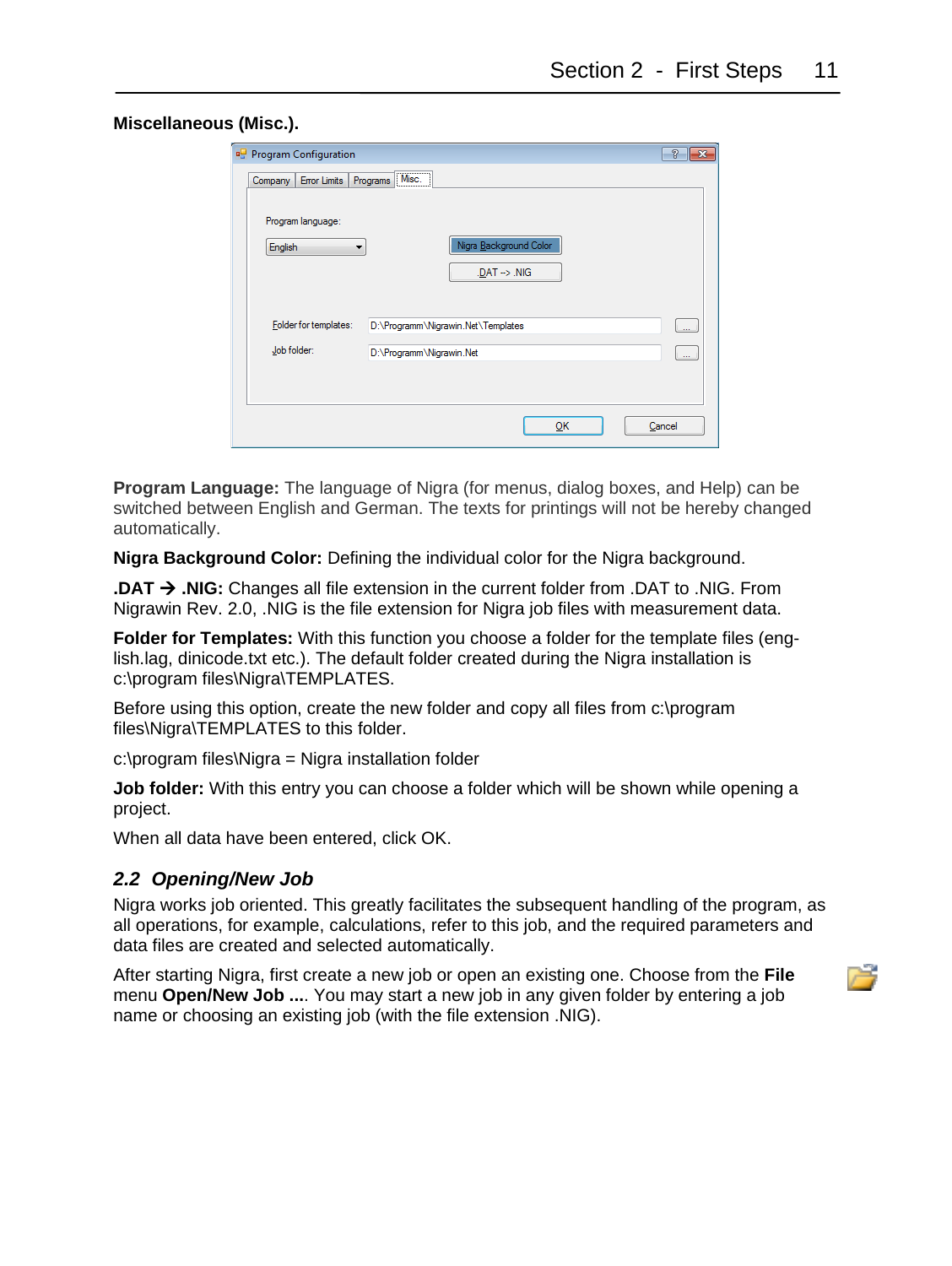| <b>Program Configuration</b>               |                                    | P<br>$\overline{\mathbf{x}}$ |
|--------------------------------------------|------------------------------------|------------------------------|
| Error Limits   Programs   Misc.<br>Company |                                    |                              |
|                                            |                                    |                              |
| Program language:                          |                                    |                              |
| English                                    | Nigra Background Color             |                              |
|                                            | $.DAT \rightarrow NIG$             |                              |
|                                            |                                    |                              |
| Folder for templates:                      | D:\Programm\Nigrawin.Net\Templates |                              |
|                                            |                                    |                              |
| Job folder:                                | D:\Programm\Nigrawin.Net           |                              |
|                                            |                                    |                              |
|                                            |                                    |                              |
|                                            | ŌΚ                                 | Cancel                       |
|                                            |                                    |                              |

**Program Language:** The language of Nigra (for menus, dialog boxes, and Help) can be switched between English and German. The texts for printings will not be hereby changed automatically.

**Nigra Background Color:** Defining the individual color for the Nigra background.

**.DAT** → **.NIG:** Changes all file extension in the current folder from .DAT to .NIG. From Nigrawin Rev. 2.0, .NIG is the file extension for Nigra job files with measurement data.

**Folder for Templates:** With this function you choose a folder for the template files (english.lag, dinicode.txt etc.). The default folder created during the Nigra installation is c:\program files\Nigra\TEMPLATES.

Before using this option, create the new folder and copy all files from c:\program files\Nigra\TEMPLATES to this folder.

c:\program files\Nigra = Nigra installation folder

**Job folder:** With this entry you can choose a folder which will be shown while opening a project.

When all data have been entered, click OK.

#### <span id="page-10-0"></span>*2.2 Opening/New Job*

Nigra works job oriented. This greatly facilitates the subsequent handling of the program, as all operations, for example, calculations, refer to this job, and the required parameters and data files are created and selected automatically.

After starting Nigra, first create a new job or open an existing one. Choose from the **File** menu **Open/New Job ...**. You may start a new job in any given folder by entering a job name or choosing an existing job (with the file extension .NIG).

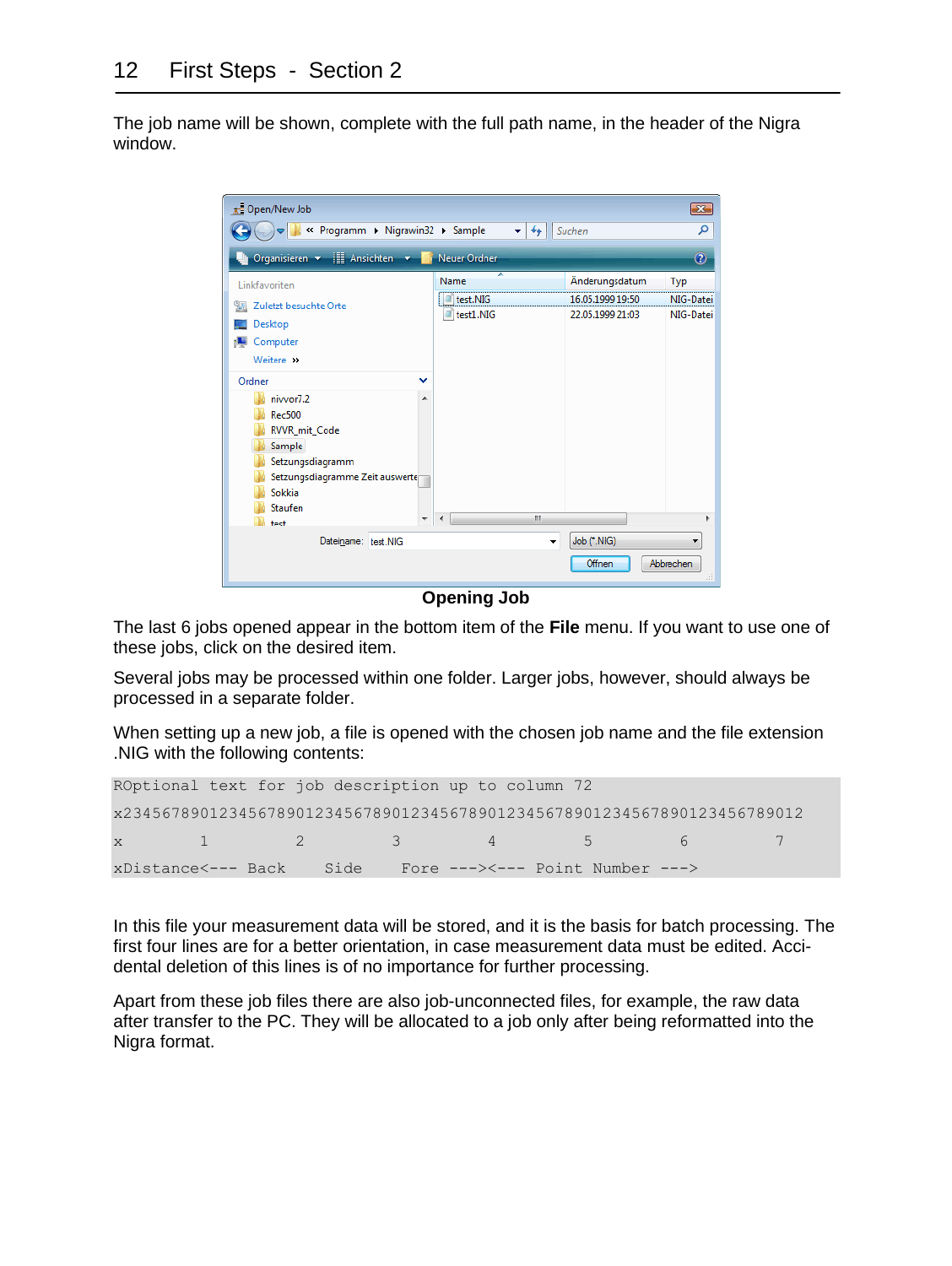The job name will be shown, complete with the full path name, in the header of the Nigra window.



**Opening Job**

The last 6 jobs opened appear in the bottom item of the **File** menu. If you want to use one of these jobs, click on the desired item.

Several jobs may be processed within one folder. Larger jobs, however, should always be processed in a separate folder.

When setting up a new job, a file is opened with the chosen job name and the file extension .NIG with the following contents:

|  | ROptional text for job description up to column 72 |                                                                          |  |
|--|----------------------------------------------------|--------------------------------------------------------------------------|--|
|  |                                                    | x23456789012345678901234567890123456789012345678901234567890123456789012 |  |
|  |                                                    | $\mathbf{x}$ 1 2 3 4 5 6 7                                               |  |
|  |                                                    | xDistance<--- Back Side Fore ---><--- Point Number --->                  |  |

In this file your measurement data will be stored, and it is the basis for batch processing. The first four lines are for a better orientation, in case measurement data must be edited. Accidental deletion of this lines is of no importance for further processing.

Apart from these job files there are also job-unconnected files, for example, the raw data after transfer to the PC. They will be allocated to a job only after being reformatted into the Nigra format.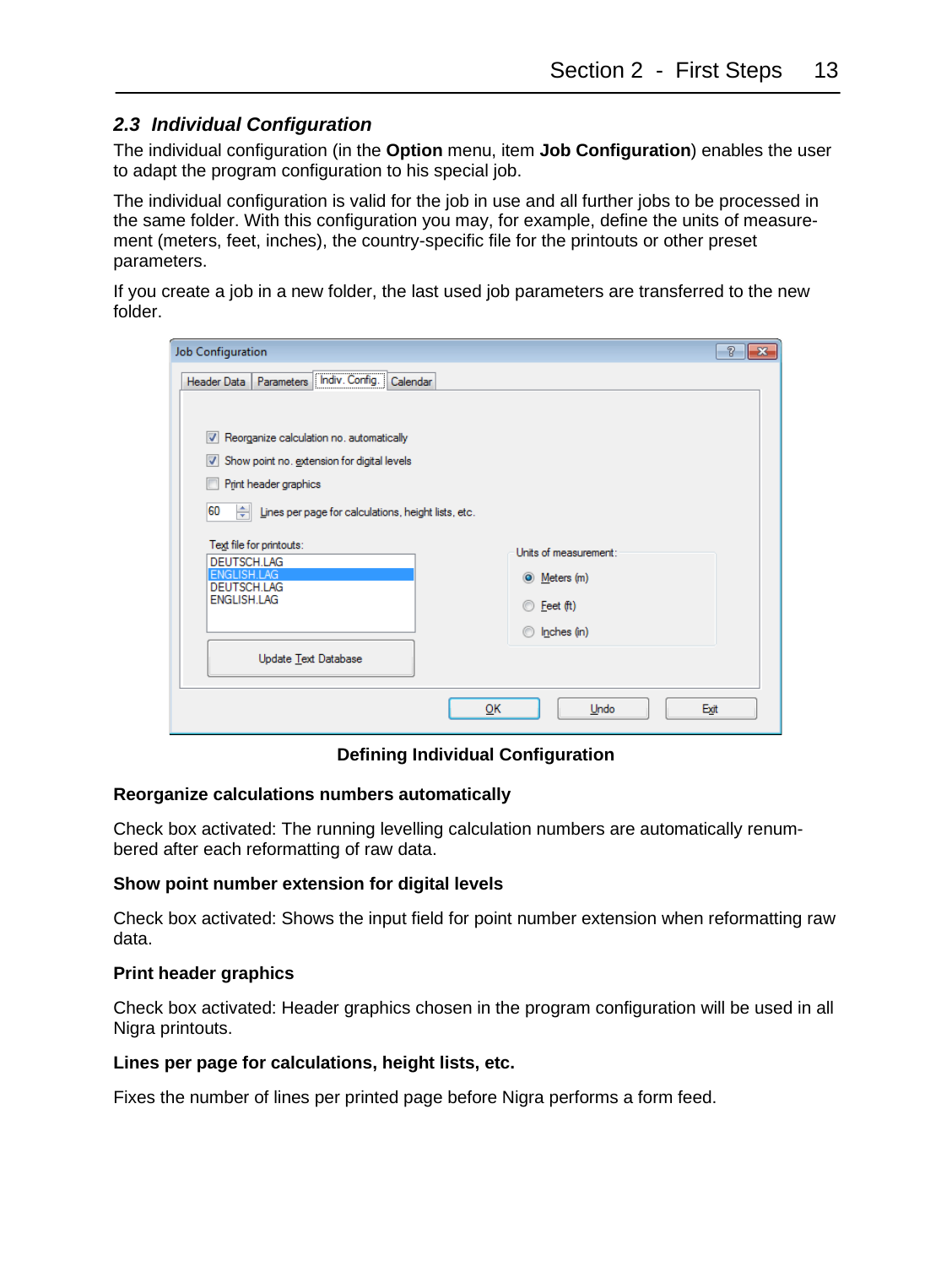#### <span id="page-12-0"></span>*2.3 Individual Configuration*

The individual configuration (in the **Option** menu, item **Job Configuration**) enables the user to adapt the program configuration to his special job.

The individual configuration is valid for the job in use and all further jobs to be processed in the same folder. With this configuration you may, for example, define the units of measurement (meters, feet, inches), the country-specific file for the printouts or other preset parameters.

If you create a job in a new folder, the last used job parameters are transferred to the new folder.

| Job Configuration                                                                            | P<br>$\mathbf{z}$     |
|----------------------------------------------------------------------------------------------|-----------------------|
| Header Data   Parameters   Indiv. Config.<br>Calendar<br>                                    |                       |
| Reorganize calculation no. automatically<br>Show point no. extension for digital levels<br>V |                       |
| Print header graphics                                                                        |                       |
| 60<br>$\frac{1}{\sqrt{2}}$ Lines per page for calculations, height lists, etc.               |                       |
| Text file for printouts:<br>DEUTSCH.LAG                                                      | Units of measurement: |
| <b>ENGLISH LAG</b><br><b>DEUTSCH LAG</b>                                                     | O Meters (m)          |
| ENGLISH.LAG                                                                                  | Feet (ft)<br>m        |
|                                                                                              | $\circ$ Inches (in)   |
| Update Text Database                                                                         |                       |
|                                                                                              | OK<br>Exit<br>Undo    |

#### **Defining Individual Configuration**

#### **Reorganize calculations numbers automatically**

Check box activated: The running levelling calculation numbers are automatically renumbered after each reformatting of raw data.

#### **Show point number extension for digital levels**

Check box activated: Shows the input field for point number extension when reformatting raw data.

#### **Print header graphics**

Check box activated: Header graphics chosen in the program configuration will be used in all Nigra printouts.

#### **Lines per page for calculations, height lists, etc.**

Fixes the number of lines per printed page before Nigra performs a form feed.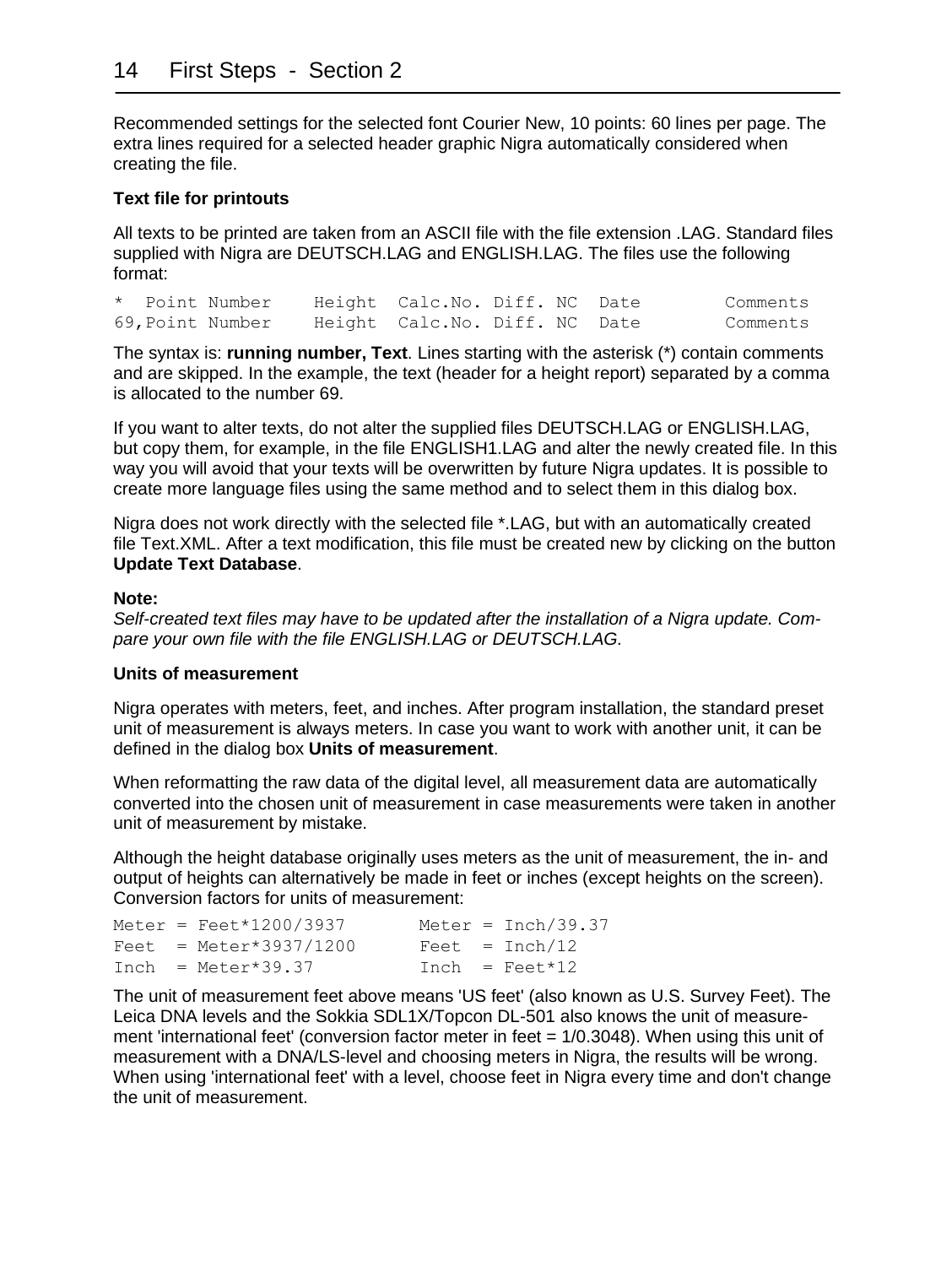Recommended settings for the selected font Courier New, 10 points: 60 lines per page. The extra lines required for a selected header graphic Nigra automatically considered when creating the file.

#### **Text file for printouts**

All texts to be printed are taken from an ASCII file with the file extension .LAG. Standard files supplied with Nigra are DEUTSCH.LAG and ENGLISH.LAG. The files use the following format:

|  | * Point Number   | Height Calc. No. Diff. NC Date |  | Comments |
|--|------------------|--------------------------------|--|----------|
|  | 69, Point Number | Height Calc. No. Diff. NC Date |  | Comments |

The syntax is: **running number, Text**. Lines starting with the asterisk (\*) contain comments and are skipped. In the example, the text (header for a height report) separated by a comma is allocated to the number 69.

If you want to alter texts, do not alter the supplied files DEUTSCH.LAG or ENGLISH.LAG, but copy them, for example, in the file ENGLISH1.LAG and alter the newly created file. In this way you will avoid that your texts will be overwritten by future Nigra updates. It is possible to create more language files using the same method and to select them in this dialog box.

Nigra does not work directly with the selected file \*.LAG, but with an automatically created file Text.XML. After a text modification, this file must be created new by clicking on the button **Update Text Database**.

#### **Note:**

*Self-created text files may have to be updated after the installation of a Nigra update. Compare your own file with the file ENGLISH.LAG or DEUTSCH.LAG.*

#### **Units of measurement**

Nigra operates with meters, feet, and inches. After program installation, the standard preset unit of measurement is always meters. In case you want to work with another unit, it can be defined in the dialog box **Units of measurement**.

When reformatting the raw data of the digital level, all measurement data are automatically converted into the chosen unit of measurement in case measurements were taken in another unit of measurement by mistake.

Although the height database originally uses meters as the unit of measurement, the in- and output of heights can alternatively be made in feet or inches (except heights on the screen). Conversion factors for units of measurement:

|  | Meter = $Feet*1200/3937$ |  | Meter = Inch/39.37 |
|--|--------------------------|--|--------------------|
|  | $Feet = Meter*3937/1200$ |  | $Feet = Inch/12$   |
|  | $Inch = Meter*39.37$     |  | $Inch = Feet*12$   |

The unit of measurement feet above means 'US feet' (also known as U.S. Survey Feet). The Leica DNA levels and the Sokkia SDL1X/Topcon DL-501 also knows the unit of measurement 'international feet' (conversion factor meter in feet = 1/0.3048). When using this unit of measurement with a DNA/LS-level and choosing meters in Nigra, the results will be wrong. When using 'international feet' with a level, choose feet in Nigra every time and don't change the unit of measurement.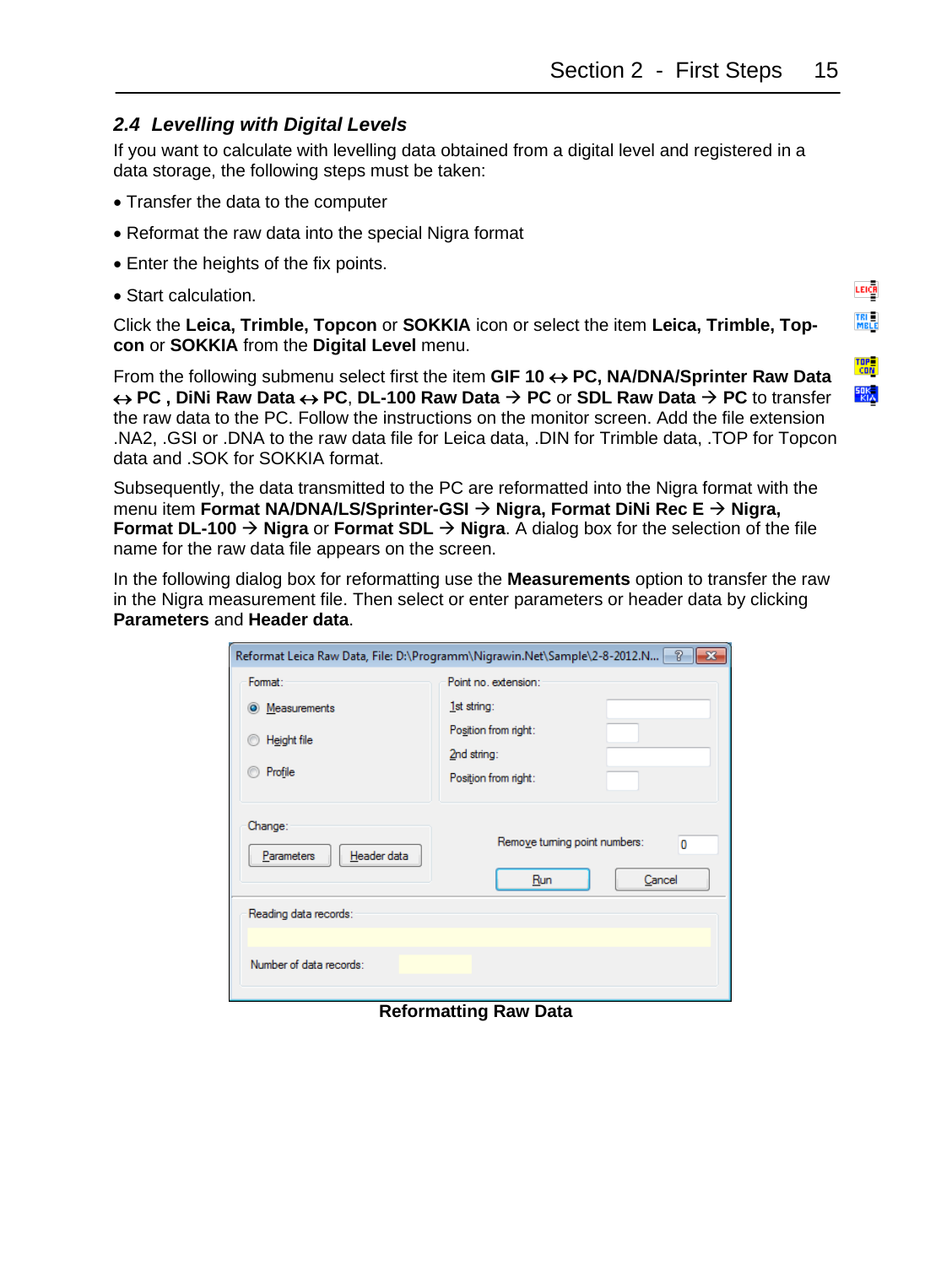LEICH TRI<br>MBLE

TOP<br>CON 歌

#### <span id="page-14-0"></span>*2.4 Levelling with Digital Levels*

If you want to calculate with levelling data obtained from a digital level and registered in a data storage, the following steps must be taken:

- Transfer the data to the computer
- Reformat the raw data into the special Nigra format
- Enter the heights of the fix points.
- Start calculation.

Click the **Leica, Trimble, Topcon** or **SOKKIA** icon or select the item **Leica, Trimble, Topcon** or **SOKKIA** from the **Digital Level** menu.

From the following submenu select first the item **GIF 10 PC, NA/DNA/Sprinter Raw Data**   $\leftrightarrow$  **PC**, DiNi Raw Data  $\leftrightarrow$  **PC**, DL-100 Raw Data  $\rightarrow$  **PC** or SDL Raw Data  $\rightarrow$  **PC** to transfer the raw data to the PC. Follow the instructions on the monitor screen. Add the file extension .NA2, .GSI or .DNA to the raw data file for Leica data, .DIN for Trimble data, .TOP for Topcon data and .SOK for SOKKIA format.

Subsequently, the data transmitted to the PC are reformatted into the Nigra format with the menu item **Format NA/DNA/LS/Sprinter-GSI** → **Nigra, Format DiNi Rec E** → **Nigra, Format DL-100** → **Nigra** or **Format SDL** → **Nigra**. A dialog box for the selection of the file name for the raw data file appears on the screen.

In the following dialog box for reformatting use the **Measurements** option to transfer the raw in the Nigra measurement file. Then select or enter parameters or header data by clicking **Parameters** and **Header data**.

| P<br>Reformat Leica Raw Data, File: D:\Programm\Nigrawin.Net\Sample\2-8-2012.N  -<br>$\mathbf{x}$ |                                                             |  |  |  |
|---------------------------------------------------------------------------------------------------|-------------------------------------------------------------|--|--|--|
| Format:                                                                                           | Point no. extension:                                        |  |  |  |
| Measurements<br>$\circ$                                                                           | 1st string:                                                 |  |  |  |
| Height file<br>Profile                                                                            | Position from right:<br>2nd string:<br>Position from right: |  |  |  |
| Change:<br>Header data<br>Parameters                                                              | Remove tuming point numbers:<br>$\bf{0}$<br>Cancel<br>Run   |  |  |  |
| Reading data records:                                                                             |                                                             |  |  |  |
| Number of data records:                                                                           |                                                             |  |  |  |

#### **Reformatting Raw Data**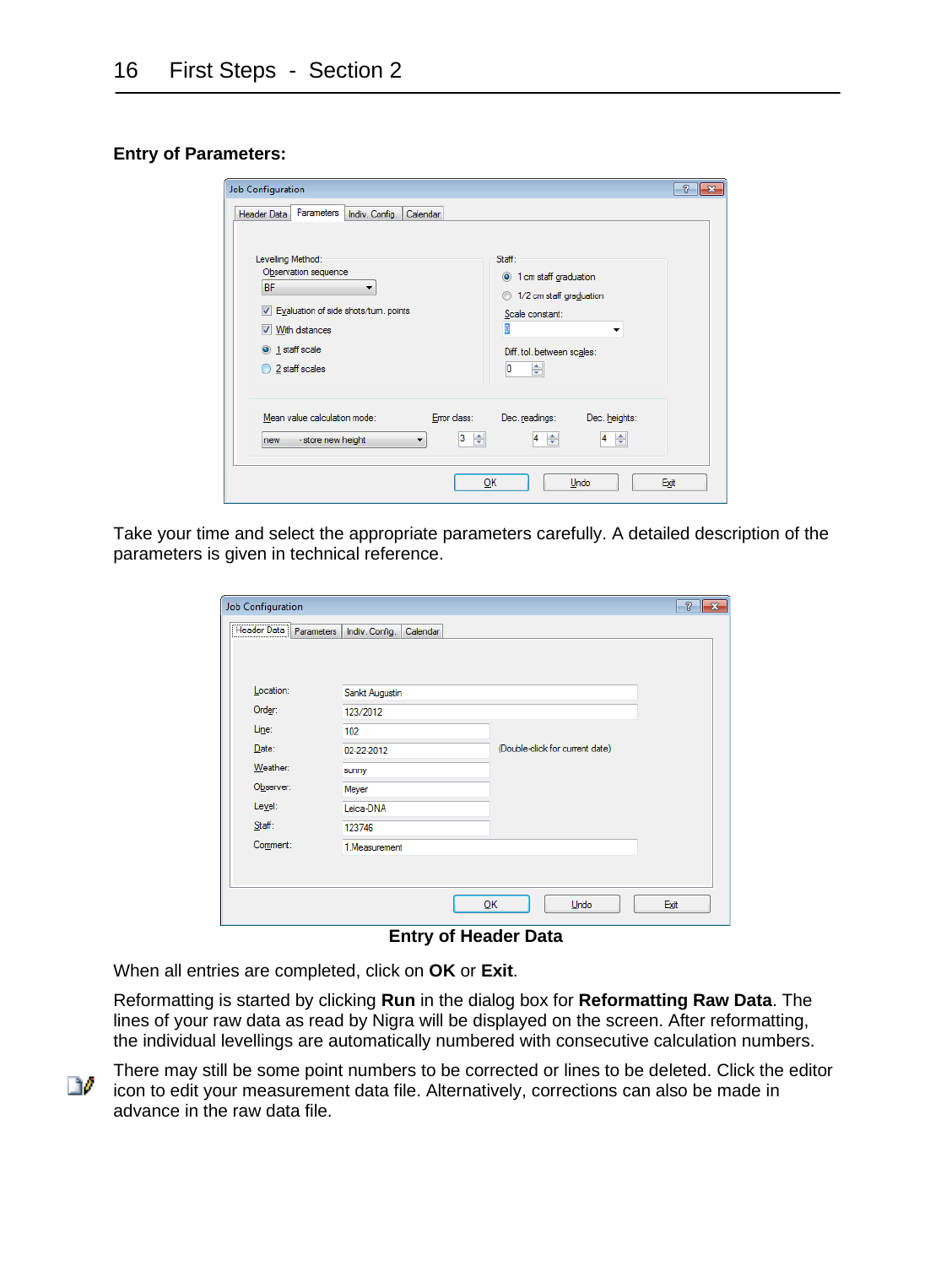#### **Entry of Parameters:**

| Job Configuration<br>Parameters<br>Header Data<br>Indiv. Config.<br>Calendar<br>Levelling Method:<br>Observation sequence<br><b>BF</b><br>Evaluation of side shots/tum. points<br>V<br>With distances<br>V<br>$\odot$ 1 staff scale | $\overline{R}$<br>Staff:<br><sup>1</sup> cm staff graduation<br>1/2 cm staff graduation<br>$\circ$<br>Scale constant:<br>ī<br>▼<br>Diff. tol. between scales: |
|-------------------------------------------------------------------------------------------------------------------------------------------------------------------------------------------------------------------------------------|---------------------------------------------------------------------------------------------------------------------------------------------------------------|
| 2 staff scales                                                                                                                                                                                                                      | ÷<br>10                                                                                                                                                       |
| Mean value calculation mode:<br>Error class:<br>3<br>÷<br>- store new height<br>new<br>▼                                                                                                                                            | Dec. readings:<br>Dec. heights:<br>÷<br>÷<br>$\overline{4}$<br>4<br>OK<br>Undo<br>Exit                                                                        |

Take your time and select the appropriate parameters carefully. A detailed description of the parameters is given in technical reference.

| <b>Job Configuration</b> |                            |                                 | $\overline{v}$<br>$\ x\ $ |
|--------------------------|----------------------------|---------------------------------|---------------------------|
| Header Data Parameters   | Indiv. Config.<br>Calendar |                                 |                           |
|                          |                            |                                 |                           |
|                          |                            |                                 |                           |
| Location:                | Sankt Augustin             |                                 |                           |
| Order:                   | 123/2012                   |                                 |                           |
| Line:                    | 102                        |                                 |                           |
| Date:                    | 02-22-2012                 | (Double-click for current date) |                           |
| Weather:                 | sunny                      |                                 |                           |
| Observer:                | Meyer                      |                                 |                           |
| Level:                   | Leica-DNA                  |                                 |                           |
| Stat:                    | 123746                     |                                 |                           |
| Comment:                 | 1.Measurement              |                                 |                           |
|                          |                            |                                 |                           |
|                          |                            |                                 |                           |
|                          |                            | QK<br>Undo                      | Exit                      |

#### **Entry of Header Data**

When all entries are completed, click on **OK** or **Exit**.

Reformatting is started by clicking **Run** in the dialog box for **Reformatting Raw Data**. The lines of your raw data as read by Nigra will be displayed on the screen. After reformatting, the individual levellings are automatically numbered with consecutive calculation numbers.

There may still be some point numbers to be corrected or lines to be deleted. Click the editor D. icon to edit your measurement data file. Alternatively, corrections can also be made in advance in the raw data file.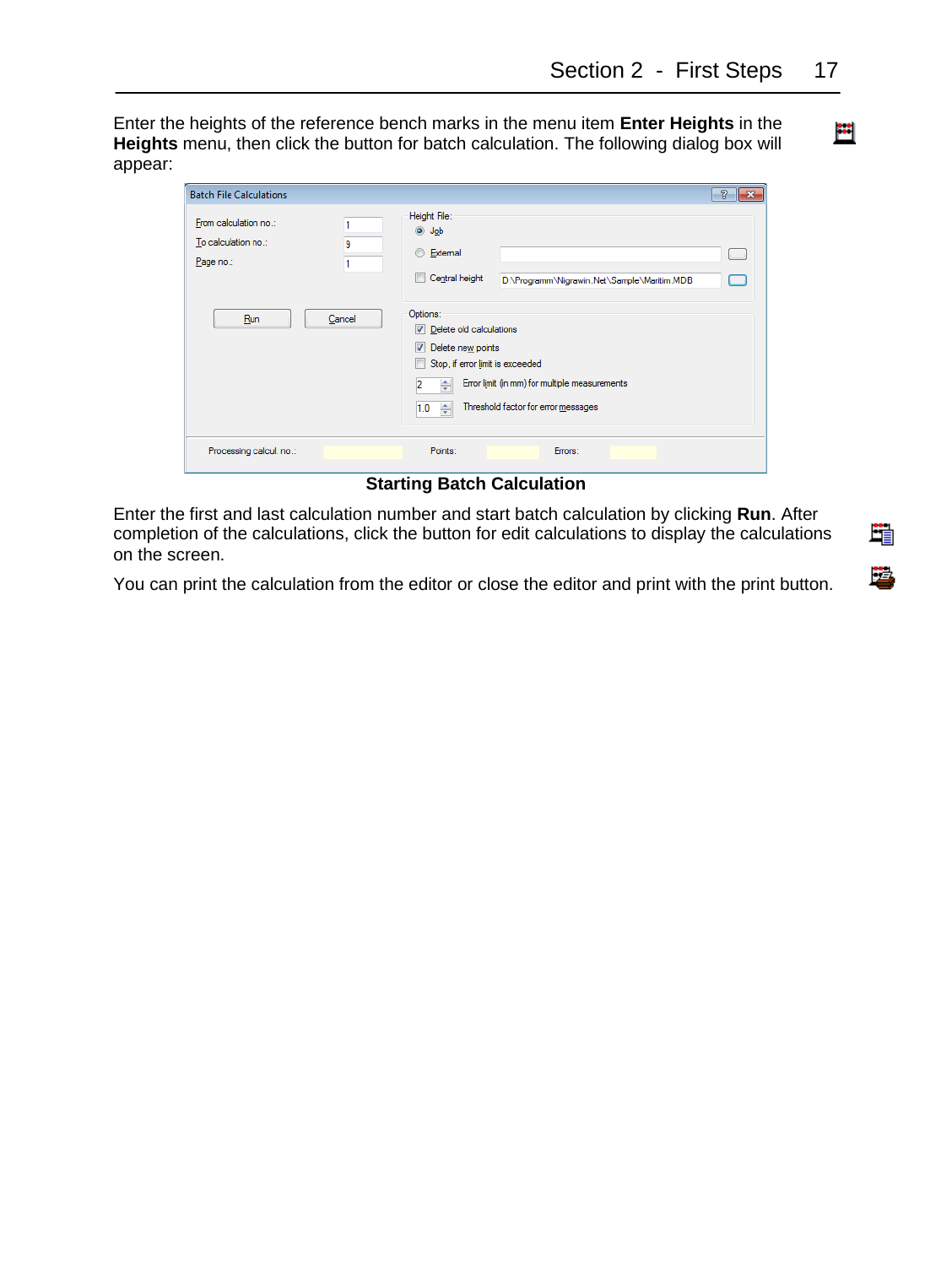Enter the heights of the reference bench marks in the menu item **Enter Heights** in the **Heights** menu, then click the button for batch calculation. The following dialog box will appear:

| <b>Batch File Calculations</b>                            |        |                                                                                                                                              |                                                                                      | $\mathcal{D}$<br>$-25$ |
|-----------------------------------------------------------|--------|----------------------------------------------------------------------------------------------------------------------------------------------|--------------------------------------------------------------------------------------|------------------------|
| From calculation no.:<br>To calculation no.:<br>Page no.: | 9      | Height File:<br>O Job<br><b>External</b><br>Central height<br>m                                                                              | D:\Programm\Nigrawin.Net\Sample\Maritim.MDB                                          |                        |
| Run                                                       | Cancel | Options:<br>$\triangledown$ Delete old calculations<br>V<br>Delete new points<br>Stop, if error limit is exceeded<br>п<br>2<br>÷<br>1.0<br>÷ | Error limit (in mm) for multiple measurements<br>Threshold factor for error messages |                        |
| Processing calcul, no.:                                   |        | Points:                                                                                                                                      | Errors:                                                                              |                        |

**Starting Batch Calculation**

Enter the first and last calculation number and start batch calculation by clicking **Run**. After completion of the calculations, click the button for edit calculations to display the calculations on the screen.

You can print the calculation from the editor or close the editor and print with the print button.

單

B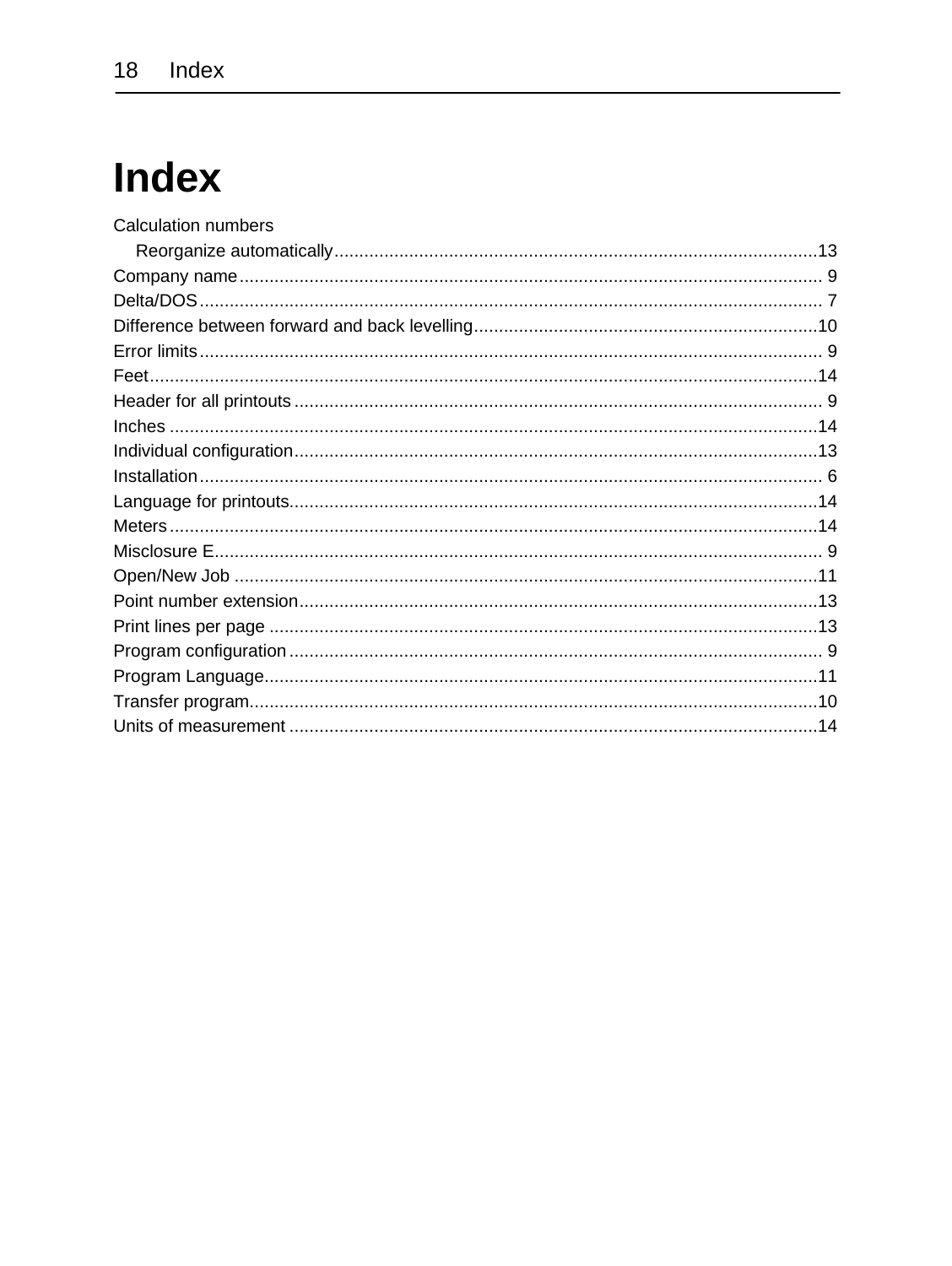### **Index**

| <b>Calculation numbers</b> |  |
|----------------------------|--|
|                            |  |
|                            |  |
|                            |  |
|                            |  |
|                            |  |
|                            |  |
|                            |  |
|                            |  |
|                            |  |
|                            |  |
|                            |  |
|                            |  |
|                            |  |
|                            |  |
|                            |  |
|                            |  |
|                            |  |
|                            |  |
|                            |  |
|                            |  |